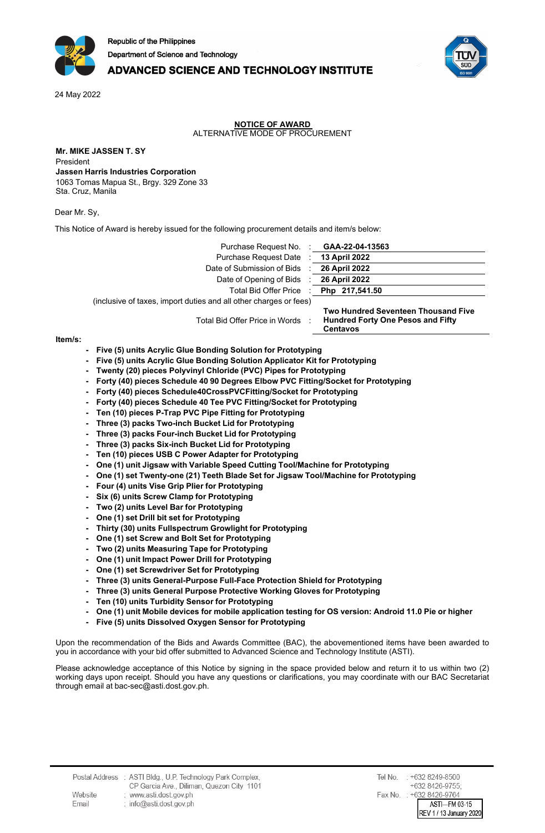

# **ADVANCED SCIENCE AND TECHNOLOGY INSTITUTE**

24 May 2022

#### **NOTICE OF AWARD** ALTERNATIVE MODE OF PROCUREMENT

**Mr. MIKE JASSEN T. SY** President **Jassen Harris Industries Corporation** 1063 Tomas Mapua St., Brgy. 329 Zone 33 Sta. Cruz, Manila

Dear Mr. Sy,

This Notice of Award is hereby issued for the following procurement details and item/s below:

Purchase Request No. : **GAA-22-04-13563** Purchase Request Date : **13 April 2022** Date of Submission of Bids : **26 April 2022** Date of Opening of Bids : **26 April 2022**

Total Bid Offer Price : **Php 217,541.50**

(inclusive of taxes, import duties and all other charges or fees) 

Total Bid Offer Price in Words :

**Two Hundred Seventeen Thousand Five Hundred Forty One Pesos and Fifty Centavos**

#### **Item/s:**

- **Five (5) units Acrylic Glue Bonding Solution for Prototyping**
- **Five (5) units Acrylic Glue Bonding Solution Applicator Kit for Prototyping**
- **Twenty (20) pieces Polyvinyl Chloride (PVC) Pipes for Prototyping**
- **Forty (40) pieces Schedule 40 90 Degrees Elbow PVC Fitting/Socket for Prototyping**
- **Forty (40) pieces Schedule40CrossPVCFitting/Socket for Prototyping**
- **Forty (40) pieces Schedule 40 Tee PVC Fitting/Socket for Prototyping**
- **Ten (10) pieces P-Trap PVC Pipe Fitting for Prototyping**
- **Three (3) packs Two-inch Bucket Lid for Prototyping**
- **Three (3) packs Four-inch Bucket Lid for Prototyping**
- **Three (3) packs Six-inch Bucket Lid for Prototyping**
- **Ten (10) pieces USB C Power Adapter for Prototyping**
- **One (1) unit Jigsaw with Variable Speed Cutting Tool/Machine for Prototyping**
- **One (1) set Twenty-one (21) Teeth Blade Set for Jigsaw Tool/Machine for Prototyping**
- **Four (4) units Vise Grip Plier for Prototyping**
- **Six (6) units Screw Clamp for Prototyping**
- **Two (2) units Level Bar for Prototyping**
- **One (1) set Drill bit set for Prototyping**
- **Thirty (30) units Fullspectrum Growlight for Prototyping**
- **One (1) set Screw and Bolt Set for Prototyping**
- **Two (2) units Measuring Tape for Prototyping**
- **One (1) unit Impact Power Drill for Prototyping**
- **One (1) set Screwdriver Set for Prototyping**
- **Three (3) units General-Purpose Full-Face Protection Shield for Prototyping**
- **Three (3) units General Purpose Protective Working Gloves for Prototyping**
- **Ten (10) units Turbidity Sensor for Prototyping**
- One (1) unit Mobile devices for mobile application testing for OS version: Android 11.0 Pie or higher
- **Five (5) units Dissolved Oxygen Sensor for Prototyping**

Upon the recommendation of the Bids and Awards Committee (BAC), the abovementioned items have been awarded to you in accordance with your bid offer submitted to Advanced Science and Technology Institute (ASTI).

Please acknowledge acceptance of this Notice by signing in the space provided below and return it to us within two (2) working days upon receipt. Should you have any questions or clarifications, you may coordinate with our BAC Secretariat through email at bac-sec@asti.dost.gov.ph.